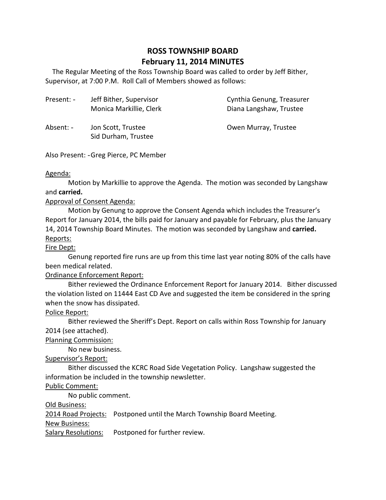# **ROSS TOWNSHIP BOARD February 11, 2014 MINUTES**

 Supervisor, at 7:00 P.M. Roll Call of Members showed as follows: The Regular Meeting of the Ross Township Board was called to order by Jeff Bither,

| Present: - | Jeff Bither, Supervisor<br>Monica Markillie, Clerk | Cynthia Genung, Treasurer<br>Diana Langshaw, Trustee |
|------------|----------------------------------------------------|------------------------------------------------------|
| Absent: -  | Jon Scott, Trustee<br>Sid Durham, Trustee          | Owen Murray, Trustee                                 |

Also Present: - Greg Pierce, PC Member

#### Agenda:

 Motion by Markillie to approve the Agenda. The motion was seconded by Langshaw and **carried.** 

## Approval of Consent Agenda:

 Motion by Genung to approve the Consent Agenda which includes the Treasurer's Report for January 2014, the bills paid for January and payable for February, plus the January 14, 2014 Township Board Minutes. The motion was seconded by Langshaw and **carried.**  Reports:

### Fire Dept:

 Genung reported fire runs are up from this time last year noting 80% of the calls have been medical related.

# Ordinance Enforcement Report:

 Bither reviewed the Ordinance Enforcement Report for January 2014. Bither discussed the violation listed on 11444 East CD Ave and suggested the item be considered in the spring when the snow has dissipated.

# Police Report:

 Bither reviewed the Sheriff's Dept. Report on calls within Ross Township for January 2014 (see attached).

#### Planning Commission:

No new business.

# Supervisor's Report:

 Bither discussed the KCRC Road Side Vegetation Policy. Langshaw suggested the information be included in the township newsletter.

#### Public Comment:

No public comment.

Old Business:

2014 Road Projects: Postponed until the March Township Board Meeting.

# **New Business:**

Salary Resolutions: Postponed for further review.